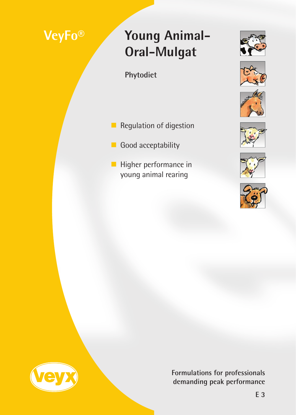# **VeyFo®**

# **Young Animal-Oral-Mulgat**

**Phytodiet**

- Regulation of digestion
- Good acceptability
- Higher performance in young animal rearing















**Formulations for professionals demanding peak performance**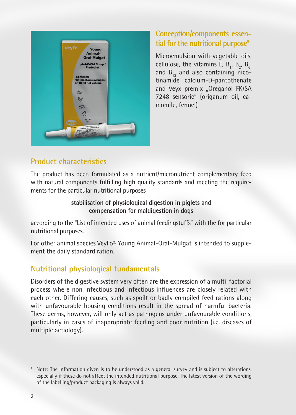

## **Conception/components essential for the nutritional purpose\***

Microemulsion with vegetable oils, cellulose, the vitamins E,  $B_{1}$ ,  $B_{2}$ ,  $B_{6}$ , and  $B_{12}$  and also containing nicotinamide, calcium-D-pantothenate and Veyx premix "Oreganol FK/SA 7248 sensoric" (origanum oil, camomile, fennel)

## **Product characteristics**

The product has been formulated as a nutrient/micronutrient complementary feed with natural components fulfilling high quality standards and meeting the requirements for the particular nutritional purposes

> **stabilisation of physiological digestion in piglets** and **compensation for maldigestion in dogs**

according to the "List of intended uses of animal feedingstuffs" with the for particular nutritional purposes.

For other animal species VeyFo® Young Animal-Oral-Mulgat is intended to supplement the daily standard ration.

## **Nutritional physiological fundamentals**

Disorders of the digestive system very often are the expression of a multi-factorial process where non-infectious and infectious influences are closely related with each other. Differing causes, such as spoilt or badly compiled feed rations along with unfavourable housing conditions result in the spread of harmful bacteria. These germs, however, will only act as pathogens under unfavourable conditions, particularly in cases of inappropriate feeding and poor nutrition (i.e. diseases of multiple aetiology).

Note: The information given is to be understood as a general survey and is subject to alterations, especially if these do not affect the intended nutritional purpose. The latest version of the wording of the labelling/product packaging is always valid.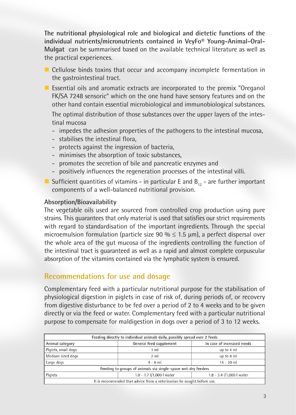**The nutritional physiological role and biological and dietetic functions of the individual nutrients/micronutrients contained in VeyFo® Young-Animal-Oral-Mulgat** can be summarised based on the available technical literature as well as the practical experiences.

- Cellulose binds toxins that occur and accompany incomplete fermentation in the gastrointestinal tract.
- Essential oils and aromatic extracts are incorporated to the premix "Oreganol FK/SA 7248 sensoric" which on the one hand have sensory features and on the other hand contain essential microbiological and immunobiological substances.

The optimal distribution of those substances over the upper layers of the intestinal mucosa

- impedes the adhesion properties of the pathogens to the intestinal mucosa,
- stabilises the intestinal flora,
- protects against the ingression of bacteria,
- minimises the absorption of toxic substances,
- promotes the secretion of bile and pancreatic enzymes and
- positively influences the regeneration processes of the intestinal villi.
- Sufficient quantities of vitamins in particular E and  $B_{12}$  are further important components of a well-balanced nutritional provision.

#### **Absorption/Bioavailability**

The vegetable oils used are sourced from controlled crop production using pure strains. This guarantees that only material is used that satisfies our strict requirements with regard to standardisation of the important ingredients. Through the special microemulsion formulation (particle size 90 %  $\leq$  1.5 µm), a perfect dispersal over the whole area of the gut mucosa of the ingredients controlling the function of the intestinal tract is guaranteed as well as a rapid and almost complete corpuscular absorption of the vitamins contained via the lymphatic system is ensured.

### **Recommendations for use and dosage**

Complementary feed with a particular nutritional purpose for the stabilisation of physiological digestion in piglets in case of risk of, during periods of, or recovery from digestive disturbance to be fed over a period of 2 to 4 weeks and to be given directly or via the feed or water. Complementary feed with a particular nutritional purpose to compensate for maldigestion in dogs over a period of 3 to 12 weeks.

| Feeding directly to individual animals daily, possibly spread over 2 feeds |                               |                               |  |
|----------------------------------------------------------------------------|-------------------------------|-------------------------------|--|
| Animal category                                                            | General feed supplement       | In case of increased needs    |  |
| Piglets, small dogs                                                        | 1 <sub>m</sub>                | up to 4 ml                    |  |
| Medium sized dogs                                                          | 2 <sub>m</sub>                | up to 8 ml                    |  |
| Large dogs                                                                 | $4 - 6$ m                     | $15 - 20$ ml                  |  |
| Feeding to groups of animals via single-space wet-dry feeders              |                               |                               |  |
| Piglets                                                                    | $1.0 - 1.7$ $1/1,000$ I water | $1.8 - 3.4$ $1/1,000$ I water |  |
| It is recommended that advice from a veterinarian be sought before use.    |                               |                               |  |